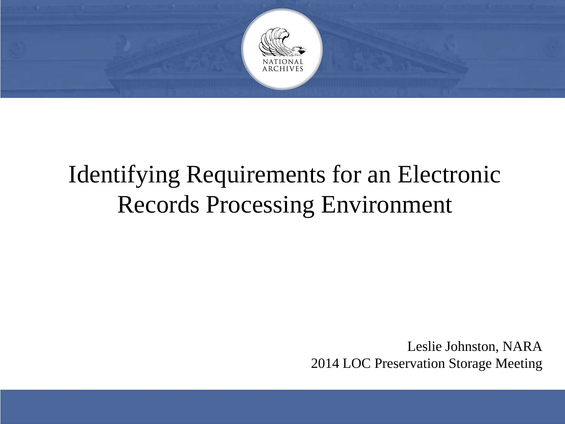

## Identifying Requirements for an Electronic Records Processing Environment

Leslie Johnston, NARA 2014 LOC Preservation Storage Meeting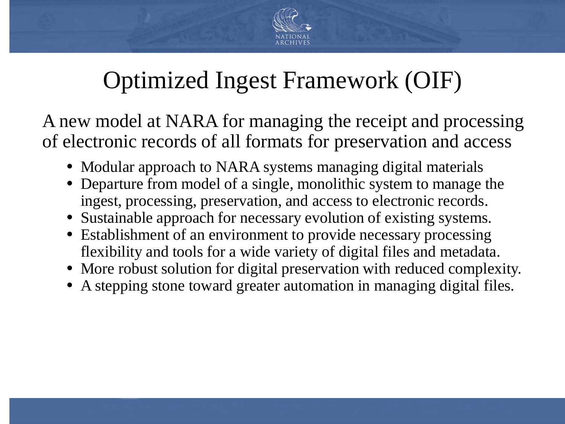

## Optimized Ingest Framework (OIF)

A new model at NARA for managing the receipt and processing of electronic records of all formats for preservation and access

- Modular approach to NARA systems managing digital materials
- Departure from model of a single, monolithic system to manage the ingest, processing, preservation, and access to electronic records.
- Sustainable approach for necessary evolution of existing systems.
- Establishment of an environment to provide necessary processing flexibility and tools for a wide variety of digital files and metadata.
- More robust solution for digital preservation with reduced complexity.
- A stepping stone toward greater automation in managing digital files.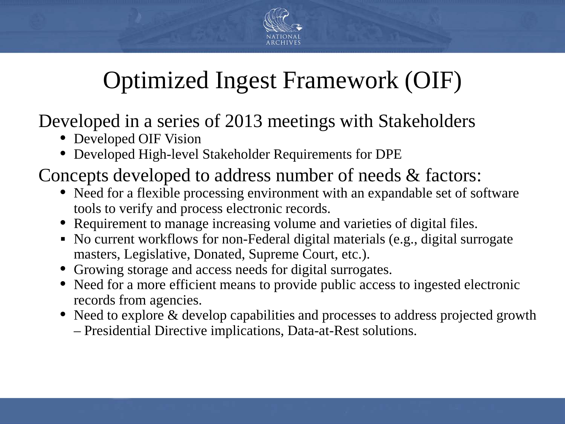

## Optimized Ingest Framework (OIF)

Developed in a series of 2013 meetings with Stakeholders

- Developed OIF Vision
- Developed High-level Stakeholder Requirements for DPE

Concepts developed to address number of needs & factors:

- Need for a flexible processing environment with an expandable set of software tools to verify and process electronic records.
- Requirement to manage increasing volume and varieties of digital files.
- No current workflows for non-Federal digital materials (e.g., digital surrogate masters, Legislative, Donated, Supreme Court, etc.).
- Growing storage and access needs for digital surrogates.
- Need for a more efficient means to provide public access to ingested electronic records from agencies.
- Need to explore & develop capabilities and processes to address projected growth
	- Presidential Directive implications, Data-at-Rest solutions.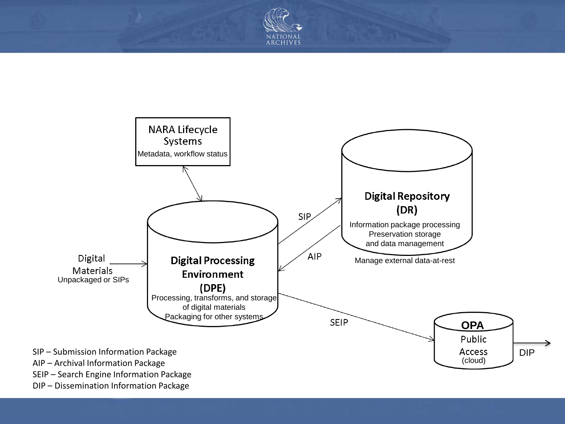



(cloud)

- SIP Submission Information Package
- AIP Archival Information Package
- SEIP Search Engine Information Package
- DIP Dissemination Information Package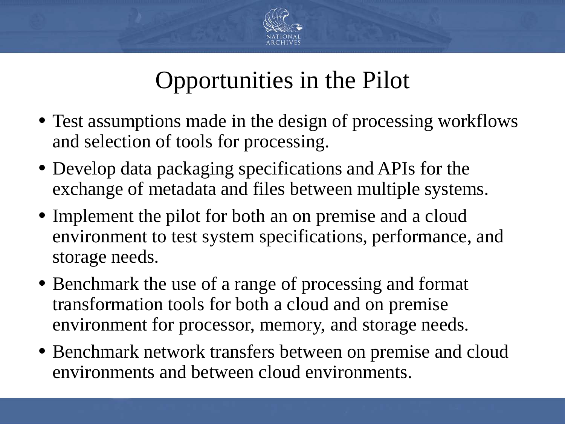

## Opportunities in the Pilot

- Test assumptions made in the design of processing workflows and selection of tools for processing.
- Develop data packaging specifications and APIs for the exchange of metadata and files between multiple systems.
- Implement the pilot for both an on premise and a cloud environment to test system specifications, performance, and storage needs.
- Benchmark the use of a range of processing and format transformation tools for both a cloud and on premise environment for processor, memory, and storage needs.
- Benchmark network transfers between on premise and cloud environments and between cloud environments.